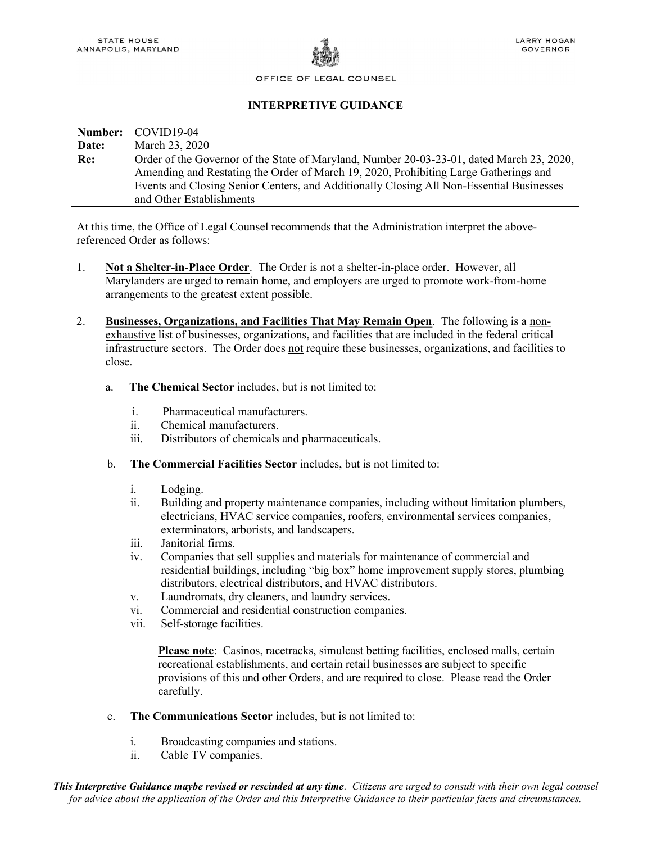

OFFICE OF LEGAL COUNSEL

# INTERPRETIVE GUIDANCE

## Number: COVID19-04 **Date:** March 23, 2020 Re: Order of the Governor of the State of Maryland, Number 20-03-23-01, dated March 23, 2020, Amending and Restating the Order of March 19, 2020, Prohibiting Large Gatherings and Events and Closing Senior Centers, and Additionally Closing All Non-Essential Businesses and Other Establishments

At this time, the Office of Legal Counsel recommends that the Administration interpret the abovereferenced Order as follows:

- 1. Not a Shelter-in-Place Order. The Order is not a shelter-in-place order. However, all Marylanders are urged to remain home, and employers are urged to promote work-from-home arrangements to the greatest extent possible.
- 2. Businesses, Organizations, and Facilities That May Remain Open. The following is a nonexhaustive list of businesses, organizations, and facilities that are included in the federal critical infrastructure sectors. The Order does not require these businesses, organizations, and facilities to close.
	- a. The Chemical Sector includes, but is not limited to:
		- i. Pharmaceutical manufacturers.
		- ii. Chemical manufacturers.
		- iii. Distributors of chemicals and pharmaceuticals.
	- b. The Commercial Facilities Sector includes, but is not limited to:
		- i. Lodging.
		- ii. Building and property maintenance companies, including without limitation plumbers, electricians, HVAC service companies, roofers, environmental services companies, exterminators, arborists, and landscapers.
		- iii. Janitorial firms.
		- iv. Companies that sell supplies and materials for maintenance of commercial and residential buildings, including "big box" home improvement supply stores, plumbing distributors, electrical distributors, and HVAC distributors.
		- v. Laundromats, dry cleaners, and laundry services.
		- vi. Commercial and residential construction companies.
		- vii. Self-storage facilities.

Please note: Casinos, racetracks, simulcast betting facilities, enclosed malls, certain recreational establishments, and certain retail businesses are subject to specific provisions of this and other Orders, and are required to close. Please read the Order carefully.

- c. The Communications Sector includes, but is not limited to:
	- i. Broadcasting companies and stations.
	- ii. Cable TV companies.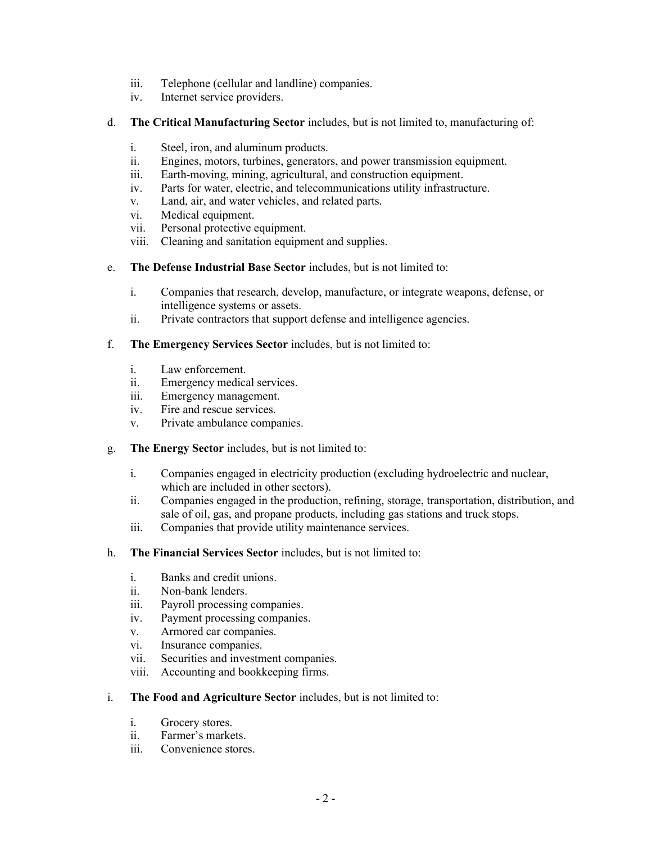- iii. Telephone (cellular and landline) companies.
- iv. Internet service providers.
- d. The Critical Manufacturing Sector includes, but is not limited to, manufacturing of:
	- i. Steel, iron, and aluminum products.
	- ii. Engines, motors, turbines, generators, and power transmission equipment.
	- iii. Earth-moving, mining, agricultural, and construction equipment.
	- iv. Parts for water, electric, and telecommunications utility infrastructure.
	- v. Land, air, and water vehicles, and related parts.
	- vi. Medical equipment.
	- vii. Personal protective equipment.
	- viii. Cleaning and sanitation equipment and supplies.
- e. The Defense Industrial Base Sector includes, but is not limited to:
	- i. Companies that research, develop, manufacture, or integrate weapons, defense, or intelligence systems or assets.
	- ii. Private contractors that support defense and intelligence agencies.

## f. The Emergency Services Sector includes, but is not limited to:

- i. Law enforcement.
- ii. Emergency medical services.
- iii. Emergency management.
- iv. Fire and rescue services.
- v. Private ambulance companies.
- g. The Energy Sector includes, but is not limited to:
	- i. Companies engaged in electricity production (excluding hydroelectric and nuclear, which are included in other sectors).
	- ii. Companies engaged in the production, refining, storage, transportation, distribution, and sale of oil, gas, and propane products, including gas stations and truck stops.
	- iii. Companies that provide utility maintenance services.
- h. The Financial Services Sector includes, but is not limited to:
	- i. Banks and credit unions.
	- ii. Non-bank lenders.
	- iii. Payroll processing companies.
	- iv. Payment processing companies.
	- v. Armored car companies.
	- vi. Insurance companies.
	- vii. Securities and investment companies.
	- viii. Accounting and bookkeeping firms.
- i. The Food and Agriculture Sector includes, but is not limited to:
	- i. Grocery stores.
	- ii. Farmer's markets.
	- iii. Convenience stores.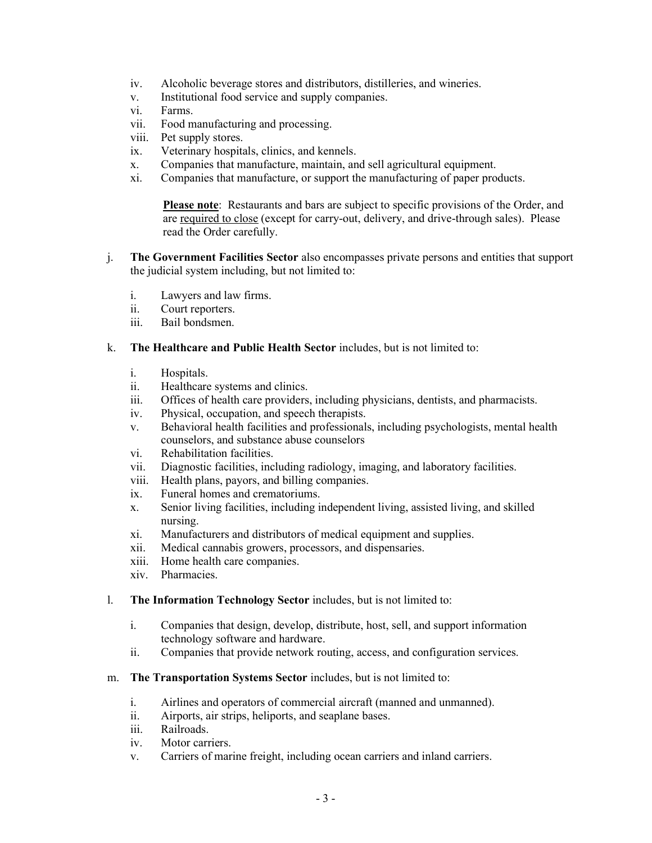- iv. Alcoholic beverage stores and distributors, distilleries, and wineries.
- v. Institutional food service and supply companies.
- vi. Farms.
- vii. Food manufacturing and processing.
- viii. Pet supply stores.
- ix. Veterinary hospitals, clinics, and kennels.
- x. Companies that manufacture, maintain, and sell agricultural equipment.
- xi. Companies that manufacture, or support the manufacturing of paper products.

Please note: Restaurants and bars are subject to specific provisions of the Order, and are required to close (except for carry-out, delivery, and drive-through sales). Please read the Order carefully.

- j. The Government Facilities Sector also encompasses private persons and entities that support the judicial system including, but not limited to:
	- i. Lawyers and law firms.
	- ii. Court reporters.
	- iii. Bail bondsmen.

#### k. The Healthcare and Public Health Sector includes, but is not limited to:

- i. Hospitals.
- ii. Healthcare systems and clinics.
- iii. Offices of health care providers, including physicians, dentists, and pharmacists.
- iv. Physical, occupation, and speech therapists.
- v. Behavioral health facilities and professionals, including psychologists, mental health counselors, and substance abuse counselors
- vi. Rehabilitation facilities.
- vii. Diagnostic facilities, including radiology, imaging, and laboratory facilities.
- viii. Health plans, payors, and billing companies.
- ix. Funeral homes and crematoriums.
- x. Senior living facilities, including independent living, assisted living, and skilled nursing.
- xi. Manufacturers and distributors of medical equipment and supplies.
- xii. Medical cannabis growers, processors, and dispensaries.
- xiii. Home health care companies.
- xiv. Pharmacies.

#### l. The Information Technology Sector includes, but is not limited to:

- i. Companies that design, develop, distribute, host, sell, and support information technology software and hardware.
- ii. Companies that provide network routing, access, and configuration services.

## m. The Transportation Systems Sector includes, but is not limited to:

- i. Airlines and operators of commercial aircraft (manned and unmanned).
- ii. Airports, air strips, heliports, and seaplane bases.
- iii. Railroads.
- iv. Motor carriers.
- v. Carriers of marine freight, including ocean carriers and inland carriers.